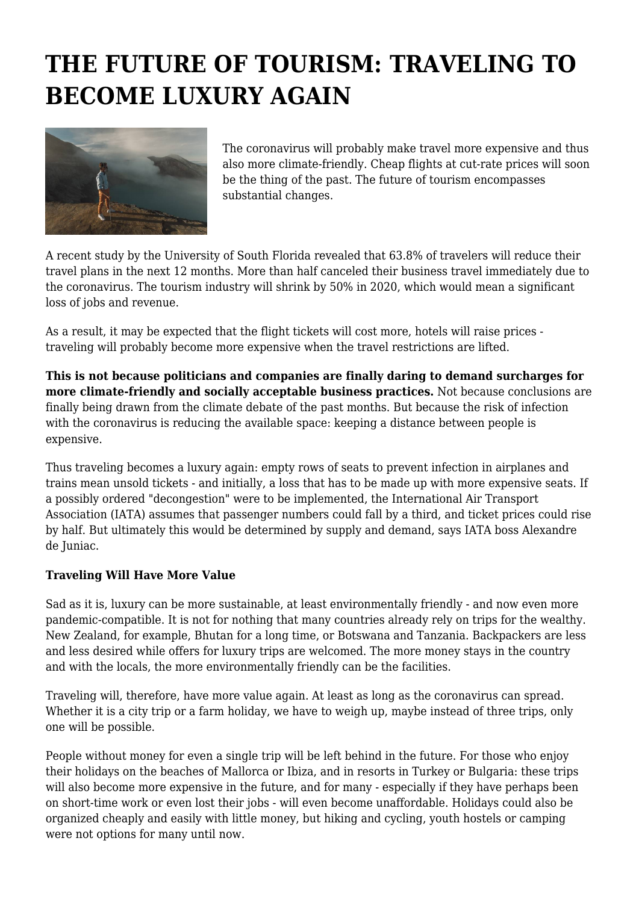## **THE FUTURE OF TOURISM: TRAVELING TO BECOME LUXURY AGAIN**



The coronavirus will probably make travel more expensive and thus also more climate-friendly. Cheap flights at cut-rate prices will soon be the thing of the past. The future of tourism encompasses substantial changes.

A recent study by the University of South Florida revealed that 63.8% of travelers will reduce their travel plans in the next 12 months. More than half canceled their business travel immediately due to the coronavirus. The tourism industry will shrink by 50% in 2020, which would mean a significant loss of jobs and revenue.

As a result, it may be expected that the flight tickets will cost more, hotels will raise prices traveling will probably become more expensive when the travel restrictions are lifted.

**This is not because politicians and companies are finally daring to demand surcharges for more climate-friendly and socially acceptable business practices.** Not because conclusions are finally being drawn from the climate debate of the past months. But because the risk of infection with the coronavirus is reducing the available space: keeping a distance between people is expensive.

Thus traveling becomes a luxury again: empty rows of seats to prevent infection in airplanes and trains mean unsold tickets - and initially, a loss that has to be made up with more expensive seats. If a possibly ordered "decongestion" were to be implemented, the International Air Transport Association (IATA) assumes that passenger numbers could fall by a third, and ticket prices could rise by half. But ultimately this would be determined by supply and demand, says IATA boss Alexandre de Juniac.

## **Traveling Will Have More Value**

Sad as it is, luxury can be more sustainable, at least environmentally friendly - and now even more pandemic-compatible. It is not for nothing that many countries already rely on trips for the wealthy. New Zealand, for example, Bhutan for a long time, or Botswana and Tanzania. Backpackers are less and less desired while offers for luxury trips are welcomed. The more money stays in the country and with the locals, the more environmentally friendly can be the facilities.

Traveling will, therefore, have more value again. At least as long as the coronavirus can spread. Whether it is a city trip or a farm holiday, we have to weigh up, maybe instead of three trips, only one will be possible.

People without money for even a single trip will be left behind in the future. For those who enjoy their holidays on the beaches of Mallorca or Ibiza, and in resorts in Turkey or Bulgaria: these trips will also become more expensive in the future, and for many - especially if they have perhaps been on short-time work or even lost their jobs - will even become unaffordable. Holidays could also be organized cheaply and easily with little money, but hiking and cycling, youth hostels or camping were not options for many until now.